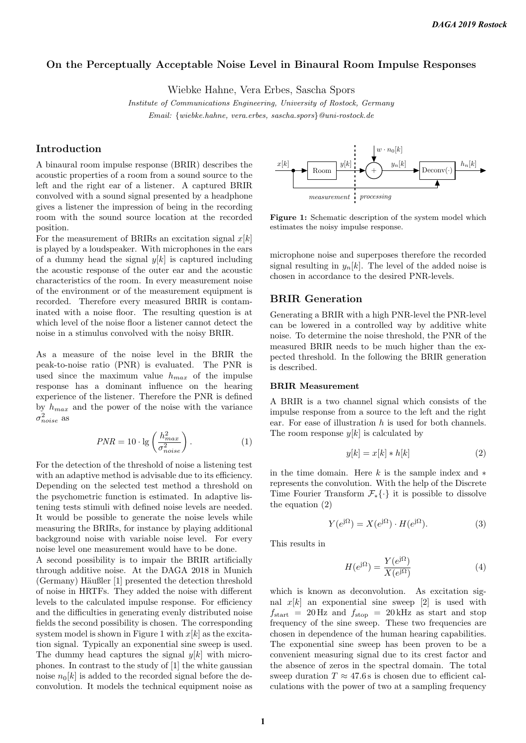# On the Perceptually Acceptable Noise Level in Binaural Room Impulse Responses

Wiebke Hahne, Vera Erbes, Sascha Spors

Institute of Communications Engineering, University of Rostock, Germany Email: {wiebke.hahne, vera.erbes, sascha.spors}@uni-rostock.de

# Introduction

A binaural room impulse response (BRIR) describes the acoustic properties of a room from a sound source to the left and the right ear of a listener. A captured BRIR convolved with a sound signal presented by a headphone gives a listener the impression of being in the recording room with the sound source location at the recorded position.

For the measurement of BRIRs an excitation signal  $x[k]$ is played by a loudspeaker. With microphones in the ears of a dummy head the signal  $y[k]$  is captured including the acoustic response of the outer ear and the acoustic characteristics of the room. In every measurement noise of the environment or of the measurement equipment is recorded. Therefore every measured BRIR is contaminated with a noise floor. The resulting question is at which level of the noise floor a listener cannot detect the noise in a stimulus convolved with the noisy BRIR.

As a measure of the noise level in the BRIR the peak-to-noise ratio (PNR) is evaluated. The PNR is used since the maximum value  $h_{max}$  of the impulse response has a dominant influence on the hearing experience of the listener. Therefore the PNR is defined by  $h_{max}$  and the power of the noise with the variance  $\sigma^2_{noise}$  as

$$
PNR = 10 \cdot \lg \left(\frac{h_{max}^2}{\sigma_{noise}^2}\right). \tag{1}
$$

For the detection of the threshold of noise a listening test with an adaptive method is advisable due to its efficiency. Depending on the selected test method a threshold on the psychometric function is estimated. In adaptive listening tests stimuli with defined noise levels are needed. It would be possible to generate the noise levels while measuring the BRIRs, for instance by playing additional background noise with variable noise level. For every noise level one measurement would have to be done. A second possibility is to impair the BRIR artificially through additive noise. At the DAGA 2018 in Munich (Germany) Häußler [1] presented the detection threshold of noise in HRTFs. They added the noise with different levels to the calculated impulse response. For efficiency and the difficulties in generating evenly distributed noise fields the second possibility is chosen. The corresponding system model is shown in Figure 1 with  $x[k]$  as the excitation signal. Typically an exponential sine sweep is used. The dummy head captures the signal  $y[k]$  with microphones. In contrast to the study of [1] the white gaussian

noise  $n_0[k]$  is added to the recorded signal before the deconvolution. It models the technical equipment noise as



Figure 1: Schematic description of the system model which estimates the noisy impulse response.

microphone noise and superposes therefore the recorded signal resulting in  $y_n[k]$ . The level of the added noise is chosen in accordance to the desired PNR-levels.

## BRIR Generation

Generating a BRIR with a high PNR-level the PNR-level can be lowered in a controlled way by additive white noise. To determine the noise threshold, the PNR of the measured BRIR needs to be much higher than the expected threshold. In the following the BRIR generation is described.

#### BRIR Measurement

A BRIR is a two channel signal which consists of the impulse response from a source to the left and the right ear. For ease of illustration  $h$  is used for both channels. The room response  $y[k]$  is calculated by

$$
y[k] = x[k] * h[k] \tag{2}
$$

in the time domain. Here k is the sample index and  $*$ represents the convolution. With the help of the Discrete Time Fourier Transform  $\mathcal{F}_*\{\cdot\}$  it is possible to dissolve the equation (2)

$$
Y(e^{j\Omega}) = X(e^{j\Omega}) \cdot H(e^{j\Omega}).
$$
\n(3)

This results in

$$
H(e^{j\Omega}) = \frac{Y(e^{j\Omega})}{X(e^{j\Omega})}
$$
\n(4)

which is known as deconvolution. As excitation signal  $x[k]$  an exponential sine sweep [2] is used with  $f_{\text{start}} = 20 \text{ Hz}$  and  $f_{\text{stop}} = 20 \text{ kHz}$  as start and stop frequency of the sine sweep. These two frequencies are chosen in dependence of the human hearing capabilities. The exponential sine sweep has been proven to be a convenient measuring signal due to its crest factor and the absence of zeros in the spectral domain. The total sweep duration  $T \approx 47.6$  s is chosen due to efficient calculations with the power of two at a sampling frequency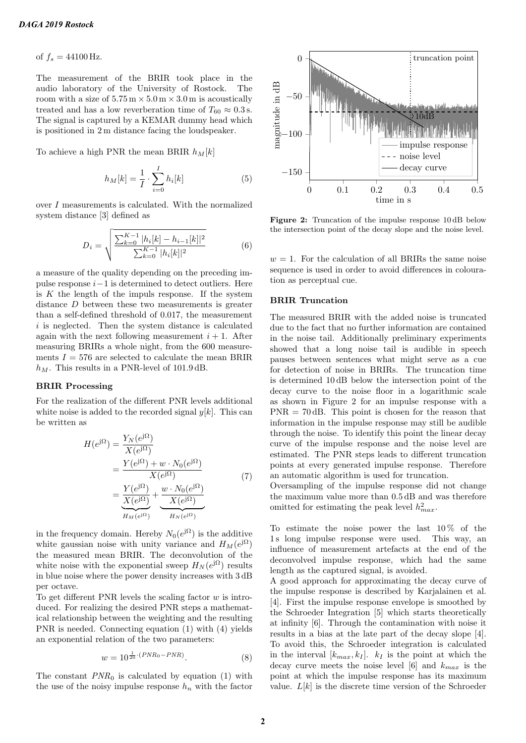of  $f_s = 44100 \text{ Hz}$ .

The measurement of the BRIR took place in the audio laboratory of the University of Rostock. The room with a size of  $5.75 \text{ m} \times 5.0 \text{ m} \times 3.0 \text{ m}$  is acoustically treated and has a low reverberation time of  $T_{60} \approx 0.3$  s. The signal is captured by a KEMAR dummy head which is positioned in 2 m distance facing the loudspeaker.

To achieve a high PNR the mean BRIR  $h_M[k]$ 

$$
h_M[k] = \frac{1}{I} \cdot \sum_{i=0}^{I} h_i[k]
$$
 (5)

over I measurements is calculated. With the normalized system distance [3] defined as

$$
D_i = \sqrt{\frac{\sum_{k=0}^{K-1} |h_i[k] - h_{i-1}[k]|^2}{\sum_{k=0}^{K-1} |h_i[k]|^2}}
$$
(6)

a measure of the quality depending on the preceding impulse response  $i-1$  is determined to detect outliers. Here is  $K$  the length of the impuls response. If the system distance D between these two measurements is greater than a self-defined threshold of 0.017, the measurement i is neglected. Then the system distance is calculated again with the next following measurement  $i + 1$ . After measuring BRIRs a whole night, from the 600 measurements  $I = 576$  are selected to calculate the mean BRIR  $h_M$ . This results in a PNR-level of 101.9 dB.

#### BRIR Processing

For the realization of the different PNR levels additional white noise is added to the recorded signal  $y[k]$ . This can be written as

$$
H(e^{j\Omega}) = \frac{Y_N(e^{j\Omega})}{X(e^{j\Omega})}
$$
  
= 
$$
\frac{Y(e^{j\Omega}) + w \cdot N_0(e^{j\Omega})}{X(e^{j\Omega})}
$$
  
= 
$$
\frac{Y(e^{j\Omega})}{X(e^{j\Omega})} + \frac{w \cdot N_0(e^{j\Omega})}{X(e^{j\Omega})}
$$
 (7)  

$$
H_N(e^{j\Omega})
$$

in the frequency domain. Hereby  $N_0(e^{j\Omega})$  is the additive white gaussian noise with unity variance and  $H_M(e^{j\Omega})$ the measured mean BRIR. The deconvolution of the white noise with the exponential sweep  $H_N(e^{j\Omega})$  results in blue noise where the power density increases with 3 dB per octave.

To get different PNR levels the scaling factor  $w$  is introduced. For realizing the desired PNR steps a mathematical relationship between the weighting and the resulting PNR is needed. Connecting equation (1) with (4) yields an exponential relation of the two parameters:

$$
w = 10^{\frac{1}{20} \cdot (PNR_0 - PNR)}.
$$
 (8)

The constant  $PNR_0$  is calculated by equation (1) with the use of the noisy impulse response  $h_n$  with the factor



Figure 2: Truncation of the impulse response 10 dB below the intersection point of the decay slope and the noise level.

 $w = 1$ . For the calculation of all BRIRs the same noise sequence is used in order to avoid differences in colouration as perceptual cue.

#### BRIR Truncation

The measured BRIR with the added noise is truncated due to the fact that no further information are contained in the noise tail. Additionally preliminary experiments showed that a long noise tail is audible in speech pauses between sentences what might serve as a cue for detection of noise in BRIRs. The truncation time is determined 10 dB below the intersection point of the decay curve to the noise floor in a logarithmic scale as shown in Figure 2 for an impulse response with a  $PNR = 70$  dB. This point is chosen for the reason that information in the impulse response may still be audible through the noise. To identify this point the linear decay curve of the impulse response and the noise level are estimated. The PNR steps leads to different truncation points at every generated impulse response. Therefore an automatic algorithm is used for truncation.

Oversampling of the impulse response did not change the maximum value more than 0.5 dB and was therefore omitted for estimating the peak level  $h_{max}^2$ .

To estimate the noise power the last  $10\%$  of the 1 s long impulse response were used. This way, an influence of measurement artefacts at the end of the deconvolved impulse response, which had the same length as the captured signal, is avoided.

A good approach for approximating the decay curve of the impulse response is described by Karjalainen et al. [4]. First the impulse response envelope is smoothed by the Schroeder Integration [5] which starts theoretically at infinity [6]. Through the contamination with noise it results in a bias at the late part of the decay slope [4]. To avoid this, the Schroeder integration is calculated in the interval  $[k_{max}, k_I]$ .  $k_I$  is the point at which the decay curve meets the noise level [6] and  $k_{max}$  is the point at which the impulse response has its maximum value.  $L[k]$  is the discrete time version of the Schroeder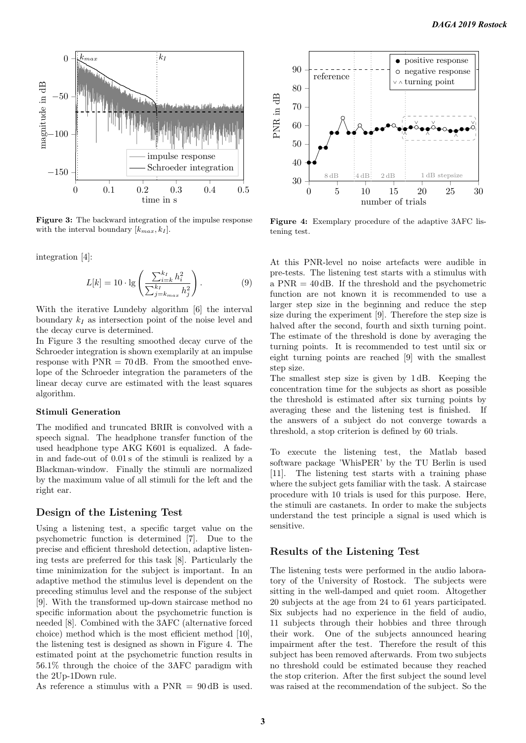

Figure 3: The backward integration of the impulse response with the interval boundary  $[k_{max}, k_I]$ .

integration [4]:

$$
L[k] = 10 \cdot \lg \left( \frac{\sum_{i=k}^{k_I} h_i^2}{\sum_{j=k_{max}}^{k_I} h_j^2} \right).
$$
 (9)

With the iterative Lundeby algorithm [6] the interval boundary  $k_I$  as intersection point of the noise level and the decay curve is determined.

In Figure 3 the resulting smoothed decay curve of the Schroeder integration is shown exemplarily at an impulse response with  $PNR = 70$  dB. From the smoothed envelope of the Schroeder integration the parameters of the linear decay curve are estimated with the least squares algorithm.

## Stimuli Generation

The modified and truncated BRIR is convolved with a speech signal. The headphone transfer function of the used headphone type AKG K601 is equalized. A fadein and fade-out of 0.01 s of the stimuli is realized by a Blackman-window. Finally the stimuli are normalized by the maximum value of all stimuli for the left and the right ear.

### Design of the Listening Test

Using a listening test, a specific target value on the psychometric function is determined [7]. Due to the precise and efficient threshold detection, adaptive listening tests are preferred for this task [8]. Particularly the time minimization for the subject is important. In an adaptive method the stimulus level is dependent on the preceding stimulus level and the response of the subject [9]. With the transformed up-down staircase method no specific information about the psychometric function is needed [8]. Combined with the 3AFC (alternative forced choice) method which is the most efficient method [10], the listening test is designed as shown in Figure 4. The estimated point at the psychometric function results in 56.1% through the choice of the 3AFC paradigm with the 2Up-1Down rule.

As reference a stimulus with a  $PNR = 90$  dB is used.



Figure 4: Exemplary procedure of the adaptive 3AFC listening test.

At this PNR-level no noise artefacts were audible in pre-tests. The listening test starts with a stimulus with a PNR = 40 dB. If the threshold and the psychometric function are not known it is recommended to use a larger step size in the beginning and reduce the step size during the experiment [9]. Therefore the step size is halved after the second, fourth and sixth turning point. The estimate of the threshold is done by averaging the turning points. It is recommended to test until six or eight turning points are reached [9] with the smallest step size.

The smallest step size is given by 1 dB. Keeping the concentration time for the subjects as short as possible the threshold is estimated after six turning points by averaging these and the listening test is finished. If the answers of a subject do not converge towards a threshold, a stop criterion is defined by 60 trials.

To execute the listening test, the Matlab based software package 'WhisPER' by the TU Berlin is used [11]. The listening test starts with a training phase where the subject gets familiar with the task. A staircase procedure with 10 trials is used for this purpose. Here, the stimuli are castanets. In order to make the subjects understand the test principle a signal is used which is sensitive.

## Results of the Listening Test

The listening tests were performed in the audio laboratory of the University of Rostock. The subjects were sitting in the well-damped and quiet room. Altogether 20 subjects at the age from 24 to 61 years participated. Six subjects had no experience in the field of audio, 11 subjects through their hobbies and three through their work. One of the subjects announced hearing impairment after the test. Therefore the result of this subject has been removed afterwards. From two subjects no threshold could be estimated because they reached the stop criterion. After the first subject the sound level was raised at the recommendation of the subject. So the